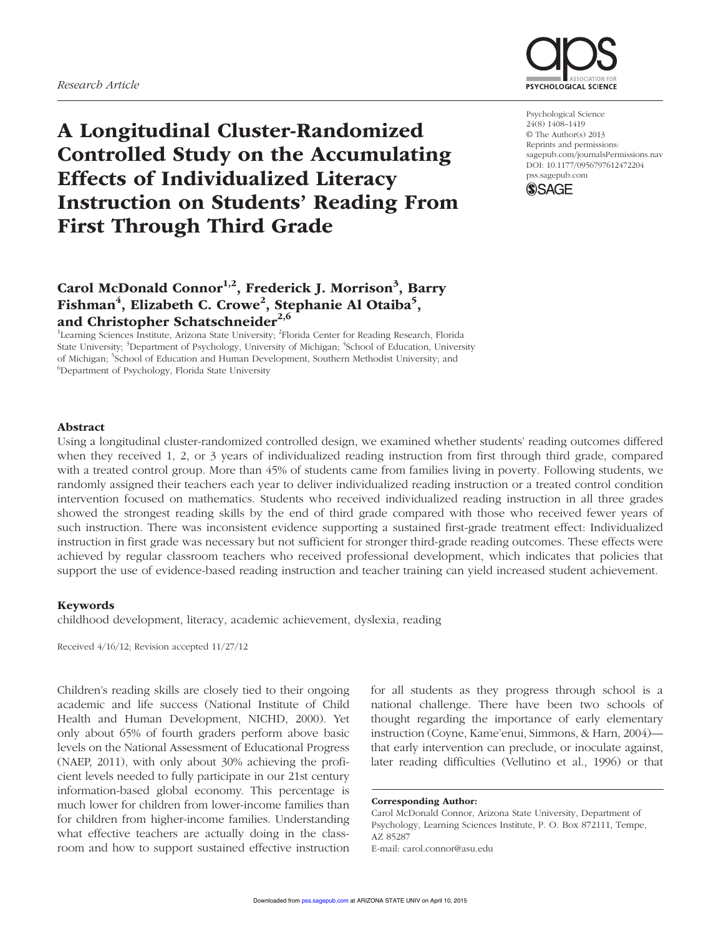

A Longitudinal Cluster-Randomized Controlled Study on the Accumulating Effects of Individualized Literacy Instruction on Students' Reading From First Through Third Grade

# Carol McDonald Connor<sup>1,2</sup>, Frederick J. Morrison<sup>3</sup>, Barry Fishman<sup>4</sup>, Elizabeth C. Crowe<sup>2</sup>, Stephanie Al Otaiba<sup>5</sup>, and Christopher Schatschneider<sup>2,6</sup>

<sup>1</sup>Learning Sciences Institute, Arizona State University; <sup>2</sup>Florida Center for Reading Research, Florida State University; <sup>3</sup>Department of Psychology, University of Michigan; <sup>4</sup>School of Education, University of Michigan; <sup>5</sup>School of Education and Human Development, Southern Methodist University; and <sup>6</sup>Department of Beychology, Electide State University. Department of Psychology, Florida State University

Psychological Science 24(8) 1408–1419 © The Author(s) 2013 Reprints and permissions: sagepub.com/journalsPermissions.nav DOI: 10.1177/0956797612472204 pss.sagepub.com



# Abstract

Using a longitudinal cluster-randomized controlled design, we examined whether students' reading outcomes differed when they received 1, 2, or 3 years of individualized reading instruction from first through third grade, compared with a treated control group. More than 45% of students came from families living in poverty. Following students, we randomly assigned their teachers each year to deliver individualized reading instruction or a treated control condition intervention focused on mathematics. Students who received individualized reading instruction in all three grades showed the strongest reading skills by the end of third grade compared with those who received fewer years of such instruction. There was inconsistent evidence supporting a sustained first-grade treatment effect: Individualized instruction in first grade was necessary but not sufficient for stronger third-grade reading outcomes. These effects were achieved by regular classroom teachers who received professional development, which indicates that policies that support the use of evidence-based reading instruction and teacher training can yield increased student achievement.

## Keywords

childhood development, literacy, academic achievement, dyslexia, reading

Received 4/16/12; Revision accepted 11/27/12

Children's reading skills are closely tied to their ongoing academic and life success (National Institute of Child Health and Human Development, NICHD, 2000). Yet only about 65% of fourth graders perform above basic levels on the National Assessment of Educational Progress (NAEP, 2011), with only about 30% achieving the proficient levels needed to fully participate in our 21st century information-based global economy. This percentage is much lower for children from lower-income families than for children from higher-income families. Understanding what effective teachers are actually doing in the classroom and how to support sustained effective instruction

for all students as they progress through school is a national challenge. There have been two schools of thought regarding the importance of early elementary instruction (Coyne, Kame'enui, Simmons, & Harn, 2004) that early intervention can preclude, or inoculate against, later reading difficulties (Vellutino et al., 1996) or that

Corresponding Author:

Carol McDonald Connor, Arizona State University, Department of Psychology, Learning Sciences Institute, P. O. Box 872111, Tempe, AZ 85287 E-mail: carol.connor@asu.edu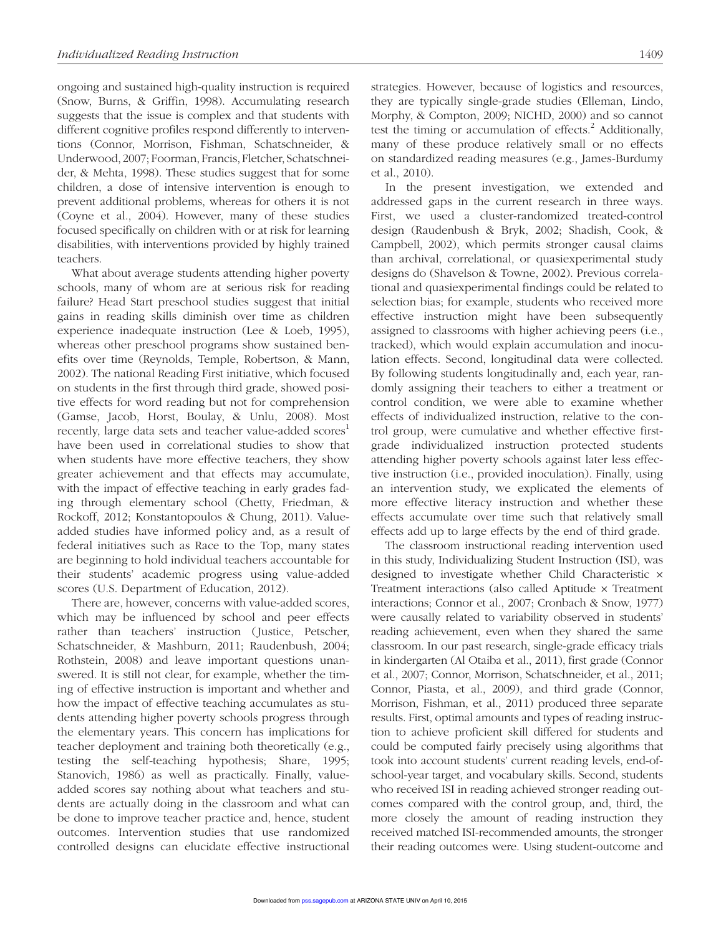ongoing and sustained high-quality instruction is required (Snow, Burns, & Griffin, 1998). Accumulating research suggests that the issue is complex and that students with different cognitive profiles respond differently to interventions (Connor, Morrison, Fishman, Schatschneider, & Underwood, 2007; Foorman, Francis, Fletcher, Schatschneider, & Mehta, 1998). These studies suggest that for some children, a dose of intensive intervention is enough to prevent additional problems, whereas for others it is not (Coyne et al., 2004). However, many of these studies focused specifically on children with or at risk for learning disabilities, with interventions provided by highly trained teachers.

What about average students attending higher poverty schools, many of whom are at serious risk for reading failure? Head Start preschool studies suggest that initial gains in reading skills diminish over time as children experience inadequate instruction (Lee & Loeb, 1995), whereas other preschool programs show sustained benefits over time (Reynolds, Temple, Robertson, & Mann, 2002). The national Reading First initiative, which focused on students in the first through third grade, showed positive effects for word reading but not for comprehension (Gamse, Jacob, Horst, Boulay, & Unlu, 2008). Most recently, large data sets and teacher value-added scores<sup>1</sup> have been used in correlational studies to show that when students have more effective teachers, they show greater achievement and that effects may accumulate, with the impact of effective teaching in early grades fading through elementary school (Chetty, Friedman, & Rockoff, 2012; Konstantopoulos & Chung, 2011). Valueadded studies have informed policy and, as a result of federal initiatives such as Race to the Top, many states are beginning to hold individual teachers accountable for their students' academic progress using value-added scores (U.S. Department of Education, 2012).

There are, however, concerns with value-added scores, which may be influenced by school and peer effects rather than teachers' instruction (Justice, Petscher, Schatschneider, & Mashburn, 2011; Raudenbush, 2004; Rothstein, 2008) and leave important questions unanswered. It is still not clear, for example, whether the timing of effective instruction is important and whether and how the impact of effective teaching accumulates as students attending higher poverty schools progress through the elementary years. This concern has implications for teacher deployment and training both theoretically (e.g., testing the self-teaching hypothesis; Share, 1995; Stanovich, 1986) as well as practically. Finally, valueadded scores say nothing about what teachers and students are actually doing in the classroom and what can be done to improve teacher practice and, hence, student outcomes. Intervention studies that use randomized controlled designs can elucidate effective instructional strategies. However, because of logistics and resources, they are typically single-grade studies (Elleman, Lindo, Morphy, & Compton, 2009; NICHD, 2000) and so cannot test the timing or accumulation of effects. $^{2}$  Additionally, many of these produce relatively small or no effects on standardized reading measures (e.g., James-Burdumy et al., 2010).

In the present investigation, we extended and addressed gaps in the current research in three ways. First, we used a cluster-randomized treated-control design (Raudenbush & Bryk, 2002; Shadish, Cook, & Campbell, 2002), which permits stronger causal claims than archival, correlational, or quasiexperimental study designs do (Shavelson & Towne, 2002). Previous correlational and quasiexperimental findings could be related to selection bias; for example, students who received more effective instruction might have been subsequently assigned to classrooms with higher achieving peers (i.e., tracked), which would explain accumulation and inoculation effects. Second, longitudinal data were collected. By following students longitudinally and, each year, randomly assigning their teachers to either a treatment or control condition, we were able to examine whether effects of individualized instruction, relative to the control group, were cumulative and whether effective firstgrade individualized instruction protected students attending higher poverty schools against later less effective instruction (i.e., provided inoculation). Finally, using an intervention study, we explicated the elements of more effective literacy instruction and whether these effects accumulate over time such that relatively small effects add up to large effects by the end of third grade.

The classroom instructional reading intervention used in this study, Individualizing Student Instruction (ISI), was designed to investigate whether Child Characteristic × Treatment interactions (also called Aptitude × Treatment interactions; Connor et al., 2007; Cronbach & Snow, 1977) were causally related to variability observed in students' reading achievement, even when they shared the same classroom. In our past research, single-grade efficacy trials in kindergarten (Al Otaiba et al., 2011), first grade (Connor et al., 2007; Connor, Morrison, Schatschneider, et al., 2011; Connor, Piasta, et al., 2009), and third grade (Connor, Morrison, Fishman, et al., 2011) produced three separate results. First, optimal amounts and types of reading instruction to achieve proficient skill differed for students and could be computed fairly precisely using algorithms that took into account students' current reading levels, end-ofschool-year target, and vocabulary skills. Second, students who received ISI in reading achieved stronger reading outcomes compared with the control group, and, third, the more closely the amount of reading instruction they received matched ISI-recommended amounts, the stronger their reading outcomes were. Using student-outcome and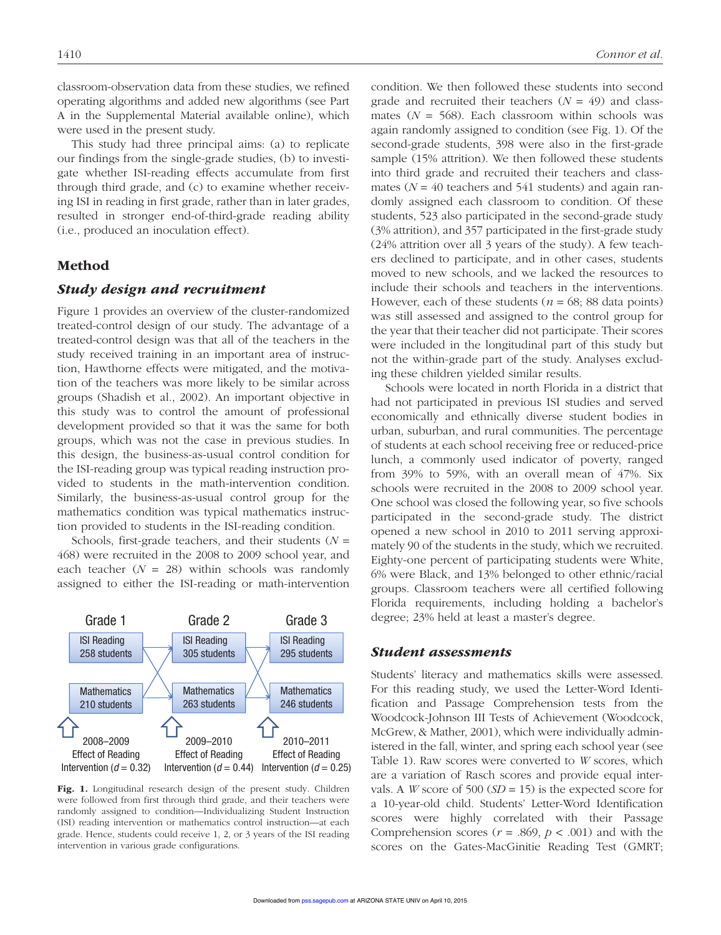classroom-observation data from these studies, we refined operating algorithms and added new algorithms (see Part A in the Supplemental Material available online), which were used in the present study.

This study had three principal aims: (a) to replicate our findings from the single-grade studies, (b) to investigate whether ISI-reading effects accumulate from first through third grade, and (c) to examine whether receiving ISI in reading in first grade, rather than in later grades, resulted in stronger end-of-third-grade reading ability (i.e., produced an inoculation effect).

## Method

#### *Study design and recruitment*

Figure 1 provides an overview of the cluster-randomized treated-control design of our study. The advantage of a treated-control design was that all of the teachers in the study received training in an important area of instruction, Hawthorne effects were mitigated, and the motivation of the teachers was more likely to be similar across groups (Shadish et al., 2002). An important objective in this study was to control the amount of professional development provided so that it was the same for both groups, which was not the case in previous studies. In this design, the business-as-usual control condition for the ISI-reading group was typical reading instruction provided to students in the math-intervention condition. Similarly, the business-as-usual control group for the mathematics condition was typical mathematics instruction provided to students in the ISI-reading condition.

Schools, first-grade teachers, and their students (*N* = 468) were recruited in the 2008 to 2009 school year, and each teacher  $(N = 28)$  within schools was randomly assigned to either the ISI-reading or math-intervention



Fig. 1. Longitudinal research design of the present study. Children were followed from first through third grade, and their teachers were randomly assigned to condition—Individualizing Student Instruction (ISI) reading intervention or mathematics control instruction—at each grade. Hence, students could receive 1, 2, or 3 years of the ISI reading intervention in various grade configurations.

condition. We then followed these students into second grade and recruited their teachers  $(N = 49)$  and classmates  $(N = 568)$ . Each classroom within schools was again randomly assigned to condition (see Fig. 1). Of the second-grade students, 398 were also in the first-grade sample (15% attrition). We then followed these students into third grade and recruited their teachers and classmates ( $N = 40$  teachers and 541 students) and again randomly assigned each classroom to condition. Of these students, 523 also participated in the second-grade study (3% attrition), and 357 participated in the first-grade study (24% attrition over all 3 years of the study). A few teachers declined to participate, and in other cases, students moved to new schools, and we lacked the resources to include their schools and teachers in the interventions. However, each of these students ( $n = 68$ ; 88 data points) was still assessed and assigned to the control group for the year that their teacher did not participate. Their scores were included in the longitudinal part of this study but not the within-grade part of the study. Analyses excluding these children yielded similar results.

Schools were located in north Florida in a district that had not participated in previous ISI studies and served economically and ethnically diverse student bodies in urban, suburban, and rural communities. The percentage of students at each school receiving free or reduced-price lunch, a commonly used indicator of poverty, ranged from 39% to 59%, with an overall mean of 47%. Six schools were recruited in the 2008 to 2009 school year. One school was closed the following year, so five schools participated in the second-grade study. The district opened a new school in 2010 to 2011 serving approximately 90 of the students in the study, which we recruited. Eighty-one percent of participating students were White, 6% were Black, and 13% belonged to other ethnic/racial groups. Classroom teachers were all certified following Florida requirements, including holding a bachelor's degree; 23% held at least a master's degree.

#### *Student assessments*

Students' literacy and mathematics skills were assessed. For this reading study, we used the Letter-Word Identification and Passage Comprehension tests from the Woodcock-Johnson III Tests of Achievement (Woodcock, McGrew, & Mather, 2001), which were individually administered in the fall, winter, and spring each school year (see Table 1). Raw scores were converted to *W* scores, which are a variation of Rasch scores and provide equal intervals. A *W* score of 500 (*SD* = 15) is the expected score for a 10-year-old child. Students' Letter-Word Identification scores were highly correlated with their Passage Comprehension scores ( $r = .869$ ,  $p < .001$ ) and with the scores on the Gates-MacGinitie Reading Test (GMRT;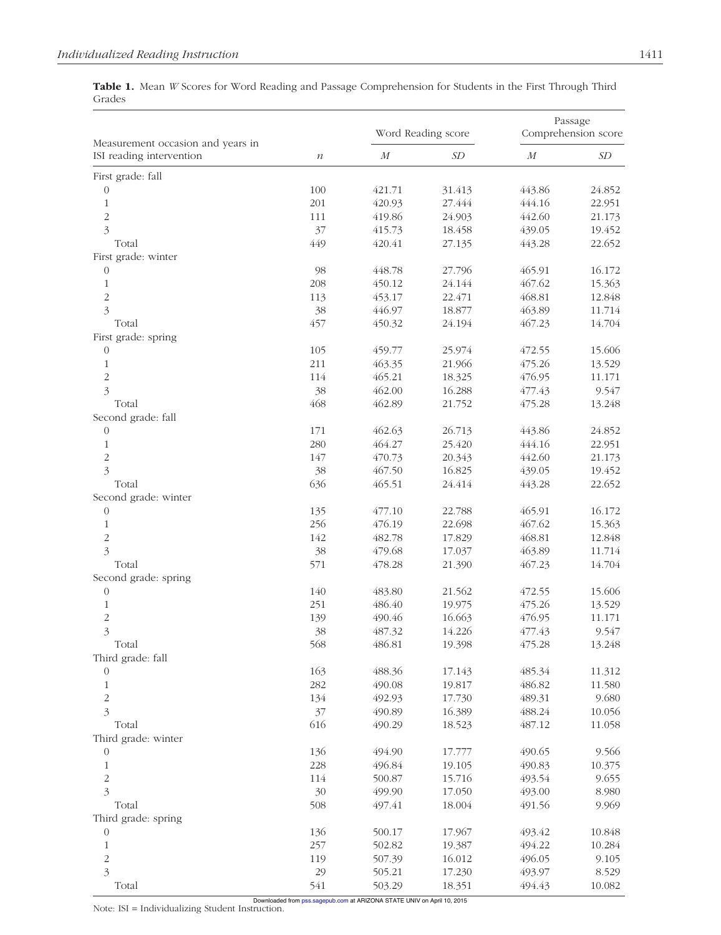Table 1. Mean *W* Scores for Word Reading and Passage Comprehension for Students in the First Through Third Grades

|                                                               |                  | Word Reading score |                            | Passage<br>Comprehension score |                           |
|---------------------------------------------------------------|------------------|--------------------|----------------------------|--------------------------------|---------------------------|
| Measurement occasion and years in<br>ISI reading intervention | $\boldsymbol{n}$ | $\cal M$           | $\ensuremath{\mathit{SD}}$ | $\cal M$                       | $\ensuremath{\mathit SD}$ |
| First grade: fall                                             |                  |                    |                            |                                |                           |
| $\boldsymbol{0}$                                              | 100              | 421.71             | 31.413                     | 443.86                         | 24.852                    |
| $\mathbf 1$                                                   | 201              | 420.93             | 27.444                     | 444.16                         | 22.951                    |
| $\overline{c}$                                                | 111              | 419.86             | 24.903                     | 442.60                         | 21.173                    |
| $\overline{\mathbf{3}}$                                       | 37               | 415.73             | 18.458                     | 439.05                         | 19.452                    |
| Total                                                         | 449              | 420.41             | 27.135                     | 443.28                         | 22.652                    |
| First grade: winter                                           |                  |                    |                            |                                |                           |
| $\boldsymbol{0}$                                              | 98               | 448.78             | 27.796                     | 465.91                         | 16.172                    |
| $\mathbf{1}$                                                  | 208              | 450.12             | 24.144                     | 467.62                         | 15.363                    |
| $\overline{c}$                                                | 113              | 453.17             | 22.471                     | 468.81                         | 12.848                    |
| $\overline{\mathbf{3}}$                                       | 38               | 446.97             | 18.877                     | 463.89                         | 11.714                    |
| Total                                                         | 457              | 450.32             | 24.194                     | 467.23                         | 14.704                    |
| First grade: spring                                           |                  |                    |                            |                                |                           |
| $\mathbf{0}$                                                  | 105              | 459.77             | 25.974                     | 472.55                         | 15.606                    |
| $\mathbf{1}$                                                  | 211              | 463.35             | 21.966                     | 475.26                         | 13.529                    |
| $\overline{c}$                                                | 114              | 465.21             | 18.325                     | 476.95                         | 11.171                    |
| $\overline{\mathbf{3}}$                                       | 38               | 462.00             | 16.288                     | 477.43                         | 9.547                     |
| Total                                                         | 468              | 462.89             | 21.752                     | 475.28                         | 13.248                    |
| Second grade: fall                                            |                  |                    |                            |                                |                           |
| $\boldsymbol{0}$                                              | 171              | 462.63             | 26.713                     | 443.86                         | 24.852                    |
|                                                               | 280              | 464.27             | 25.420                     | 444.16                         |                           |
| $\mathbf{1}$                                                  | 147              |                    |                            | 442.60                         | 22.951                    |
| $\overline{c}$                                                |                  | 470.73             | 20.343                     |                                | 21.173                    |
| $\overline{\mathbf{3}}$                                       | 38               | 467.50             | 16.825                     | 439.05                         | 19.452                    |
| Total                                                         | 636              | 465.51             | 24.414                     | 443.28                         | 22.652                    |
| Second grade: winter                                          |                  |                    |                            |                                |                           |
| $\boldsymbol{0}$                                              | 135              | 477.10             | 22.788                     | 465.91                         | 16.172                    |
| $\mathbf{1}$                                                  | 256              | 476.19             | 22.698                     | 467.62                         | 15.363                    |
| $\overline{c}$                                                | 142              | 482.78             | 17.829                     | 468.81                         | 12.848                    |
| $\overline{\mathfrak{Z}}$                                     | 38               | 479.68             | 17.037                     | 463.89                         | 11.714                    |
| Total                                                         | 571              | 478.28             | 21.390                     | 467.23                         | 14.704                    |
| Second grade: spring                                          |                  |                    |                            |                                |                           |
| $\boldsymbol{0}$                                              | 140              | 483.80             | 21.562                     | 472.55                         | 15.606                    |
| $\mathbf 1$                                                   | 251              | 486.40             | 19.975                     | 475.26                         | 13.529                    |
| $\overline{\mathbf{c}}$                                       | 139              | 490.46             | 16.663                     | 476.95                         | 11.171                    |
| $\overline{\mathbf{3}}$                                       | 38               | 487.32             | 14.226                     | 477.43                         | 9.547                     |
| Total                                                         | 568              | 486.81             | 19.398                     | 475.28                         | 13.248                    |
| Third grade: fall                                             |                  |                    |                            |                                |                           |
| $\mathbf{0}$                                                  | 163              | 488.36             | 17.143                     | 485.34                         | 11.312                    |
| $\mathbf 1$                                                   | 282              | 490.08             | 19.817                     | 486.82                         | 11.580                    |
| $\overline{c}$                                                | 134              | 492.93             | 17.730                     | 489.31                         | 9.680                     |
| $\overline{\mathbf{3}}$                                       | 37               | 490.89             | 16.389                     | 488.24                         | 10.056                    |
| Total                                                         | 616              | 490.29             | 18.523                     | 487.12                         | 11.058                    |
| Third grade: winter                                           |                  |                    |                            |                                |                           |
| $\mathbf{0}$                                                  | 136              | 494.90             | 17.777                     | 490.65                         | 9.566                     |
| $\mathbf 1$                                                   | 228              | 496.84             | 19.105                     | 490.83                         | 10.375                    |
| $\overline{c}$                                                | 114              | 500.87             | 15.716                     | 493.54                         | 9.655                     |
| $\overline{\mathbf{3}}$                                       | 30               | 499.90             | 17.050                     | 493.00                         | 8.980                     |
| Total                                                         | 508              | 497.41             | 18.004                     | 491.56                         | 9.969                     |
| Third grade: spring                                           |                  |                    |                            |                                |                           |
| $\boldsymbol{0}$                                              | 136              | 500.17             | 17.967                     | 493.42                         | 10.848                    |
| $\mathbf 1$                                                   | 257              | 502.82             | 19.387                     | 494.22                         | 10.284                    |
| $\overline{\mathbf{c}}$                                       | 119              | 507.39             | 16.012                     | 496.05                         | 9.105                     |
| $\overline{\mathfrak{Z}}$                                     | 29               | 505.21             | 17.230                     | 493.97                         | 8.529                     |
| Total                                                         | 541              | 503.29             | 18.351                     | 494.43                         | 10.082                    |
|                                                               |                  |                    |                            |                                |                           |

Note:  $ISI = Individualizing Student Instruction$ .<br>Note:  $ISI = Individualizing Student Instruction$ .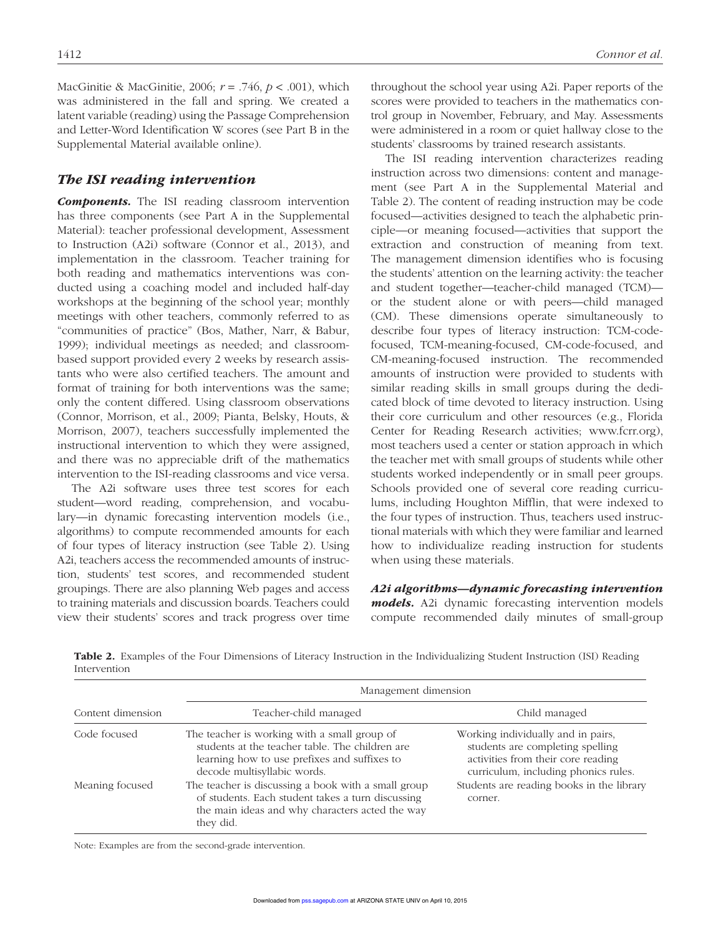MacGinitie & MacGinitie, 2006; *r* = .746, *p* < .001), which was administered in the fall and spring. We created a latent variable (reading) using the Passage Comprehension and Letter-Word Identification W scores (see Part B in the Supplemental Material available online).

# *The ISI reading intervention*

*Components.* The ISI reading classroom intervention has three components (see Part A in the Supplemental Material): teacher professional development, Assessment to Instruction (A2i) software (Connor et al., 2013), and implementation in the classroom. Teacher training for both reading and mathematics interventions was conducted using a coaching model and included half-day workshops at the beginning of the school year; monthly meetings with other teachers, commonly referred to as "communities of practice" (Bos, Mather, Narr, & Babur, 1999); individual meetings as needed; and classroombased support provided every 2 weeks by research assistants who were also certified teachers. The amount and format of training for both interventions was the same; only the content differed. Using classroom observations (Connor, Morrison, et al., 2009; Pianta, Belsky, Houts, & Morrison, 2007), teachers successfully implemented the instructional intervention to which they were assigned, and there was no appreciable drift of the mathematics intervention to the ISI-reading classrooms and vice versa.

The A2i software uses three test scores for each student—word reading, comprehension, and vocabulary—in dynamic forecasting intervention models (i.e., algorithms) to compute recommended amounts for each of four types of literacy instruction (see Table 2). Using A2i, teachers access the recommended amounts of instruction, students' test scores, and recommended student groupings. There are also planning Web pages and access to training materials and discussion boards. Teachers could view their students' scores and track progress over time

throughout the school year using A2i. Paper reports of the scores were provided to teachers in the mathematics control group in November, February, and May. Assessments were administered in a room or quiet hallway close to the students' classrooms by trained research assistants.

The ISI reading intervention characterizes reading instruction across two dimensions: content and management (see Part A in the Supplemental Material and Table 2). The content of reading instruction may be code focused—activities designed to teach the alphabetic principle—or meaning focused—activities that support the extraction and construction of meaning from text. The management dimension identifies who is focusing the students' attention on the learning activity: the teacher and student together—teacher-child managed (TCM) or the student alone or with peers—child managed (CM). These dimensions operate simultaneously to describe four types of literacy instruction: TCM-codefocused, TCM-meaning-focused, CM-code-focused, and CM-meaning-focused instruction. The recommended amounts of instruction were provided to students with similar reading skills in small groups during the dedicated block of time devoted to literacy instruction. Using their core curriculum and other resources (e.g., Florida Center for Reading Research activities; www.fcrr.org), most teachers used a center or station approach in which the teacher met with small groups of students while other students worked independently or in small peer groups. Schools provided one of several core reading curriculums, including Houghton Mifflin, that were indexed to the four types of instruction. Thus, teachers used instructional materials with which they were familiar and learned how to individualize reading instruction for students when using these materials.

*A2i algorithms—dynamic forecasting intervention models.* A2i dynamic forecasting intervention models compute recommended daily minutes of small-group

|                   | Management dimension                                                                                                                                                           |                                                                                                                                                      |  |  |  |
|-------------------|--------------------------------------------------------------------------------------------------------------------------------------------------------------------------------|------------------------------------------------------------------------------------------------------------------------------------------------------|--|--|--|
| Content dimension | Teacher-child managed                                                                                                                                                          | Child managed                                                                                                                                        |  |  |  |
| Code focused      | The teacher is working with a small group of<br>students at the teacher table. The children are<br>learning how to use prefixes and suffixes to<br>decode multisyllabic words. | Working individually and in pairs,<br>students are completing spelling<br>activities from their core reading<br>curriculum, including phonics rules. |  |  |  |
| Meaning focused   | The teacher is discussing a book with a small group<br>of students. Each student takes a turn discussing<br>the main ideas and why characters acted the way<br>they did.       | Students are reading books in the library<br>corner.                                                                                                 |  |  |  |

Table 2. Examples of the Four Dimensions of Literacy Instruction in the Individualizing Student Instruction (ISI) Reading Intervention

Note: Examples are from the second-grade intervention.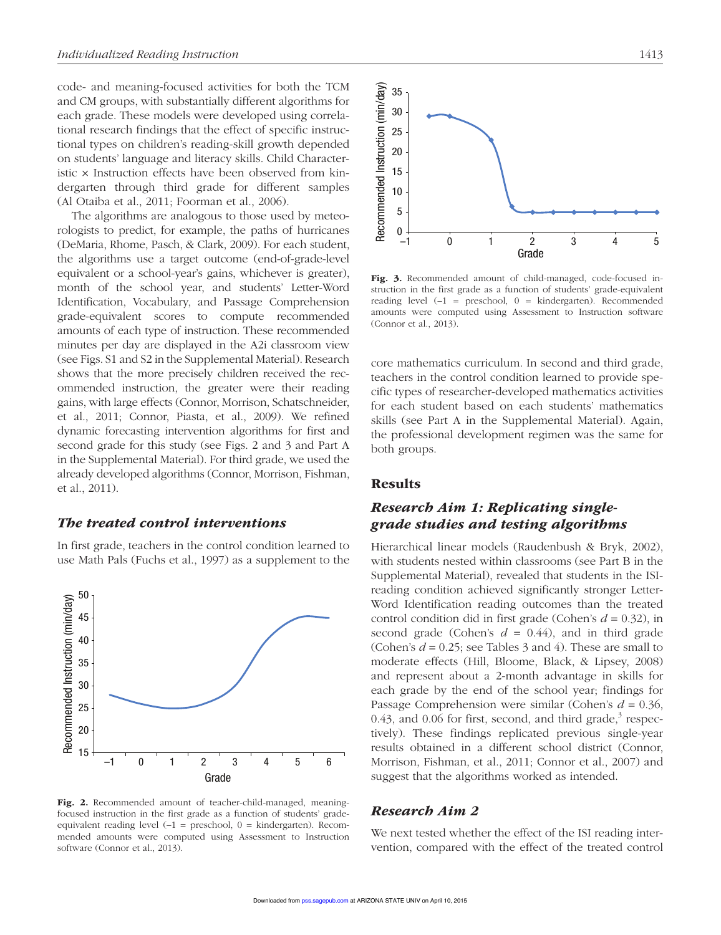code- and meaning-focused activities for both the TCM and CM groups, with substantially different algorithms for each grade. These models were developed using correlational research findings that the effect of specific instructional types on children's reading-skill growth depended on students' language and literacy skills. Child Characteristic × Instruction effects have been observed from kindergarten through third grade for different samples (Al Otaiba et al., 2011; Foorman et al., 2006).

The algorithms are analogous to those used by meteorologists to predict, for example, the paths of hurricanes (DeMaria, Rhome, Pasch, & Clark, 2009). For each student, the algorithms use a target outcome (end-of-grade-level equivalent or a school-year's gains, whichever is greater), month of the school year, and students' Letter-Word Identification, Vocabulary, and Passage Comprehension grade-equivalent scores to compute recommended amounts of each type of instruction. These recommended minutes per day are displayed in the A2i classroom view (see Figs. S1 and S2 in the Supplemental Material). Research shows that the more precisely children received the recommended instruction, the greater were their reading gains, with large effects (Connor, Morrison, Schatschneider, et al., 2011; Connor, Piasta, et al., 2009). We refined dynamic forecasting intervention algorithms for first and second grade for this study (see Figs. 2 and 3 and Part A in the Supplemental Material). For third grade, we used the already developed algorithms (Connor, Morrison, Fishman, et al., 2011).

#### *The treated control interventions*

In first grade, teachers in the control condition learned to use Math Pals (Fuchs et al., 1997) as a supplement to the



Fig. 2. Recommended amount of teacher-child-managed, meaningfocused instruction in the first grade as a function of students' gradeequivalent reading level  $(-1 =$  preschool,  $0 =$  kindergarten). Recommended amounts were computed using Assessment to Instruction software (Connor et al., 2013).



Fig. 3. Recommended amount of child-managed, code-focused instruction in the first grade as a function of students' grade-equivalent reading level  $(-1$  = preschool,  $0$  = kindergarten). Recommended amounts were computed using Assessment to Instruction software (Connor et al., 2013).

core mathematics curriculum. In second and third grade, teachers in the control condition learned to provide specific types of researcher-developed mathematics activities for each student based on each students' mathematics skills (see Part A in the Supplemental Material). Again, the professional development regimen was the same for both groups.

## Results

# *Research Aim 1: Replicating singlegrade studies and testing algorithms*

Hierarchical linear models (Raudenbush & Bryk, 2002), with students nested within classrooms (see Part B in the Supplemental Material), revealed that students in the ISIreading condition achieved significantly stronger Letter-Word Identification reading outcomes than the treated control condition did in first grade (Cohen's *d* = 0.32), in second grade (Cohen's  $d = 0.44$ ), and in third grade (Cohen's  $d = 0.25$ ; see Tables 3 and 4). These are small to moderate effects (Hill, Bloome, Black, & Lipsey, 2008) and represent about a 2-month advantage in skills for each grade by the end of the school year; findings for Passage Comprehension were similar (Cohen's *d* = 0.36, 0.43, and 0.06 for first, second, and third grade, $3$  respectively). These findings replicated previous single-year results obtained in a different school district (Connor, Morrison, Fishman, et al., 2011; Connor et al., 2007) and suggest that the algorithms worked as intended.

#### *Research Aim 2*

We next tested whether the effect of the ISI reading intervention, compared with the effect of the treated control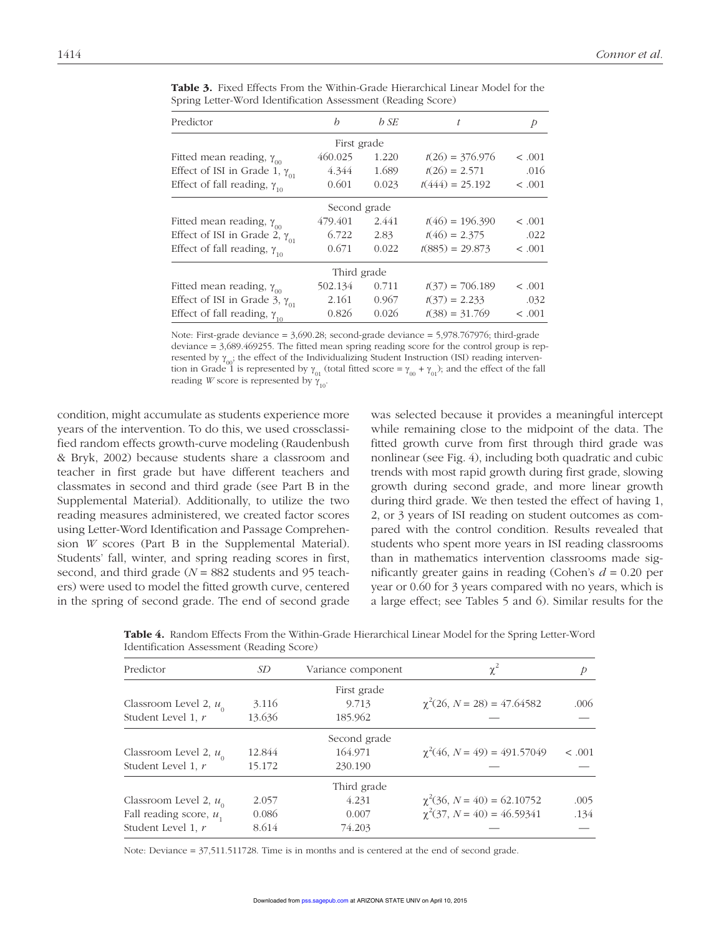| Predictor                               | h            | b SE  | t                 | Þ       |
|-----------------------------------------|--------------|-------|-------------------|---------|
|                                         | First grade  |       |                   |         |
| Fitted mean reading, $\gamma_{_{00}}$   | 460.025      | 1.220 | $t(26) = 376.976$ | < .001  |
| Effect of ISI in Grade 1, $\gamma_{01}$ | 4.344        | 1.689 | $t(26) = 2.571$   | .016    |
| Effect of fall reading, $\gamma_{10}$   | 0.601        | 0.023 | $t(444) = 25.192$ | < .001  |
|                                         | Second grade |       |                   |         |
| Fitted mean reading, $\gamma_{_{00}}$   | 479.401      | 2.441 | $t(46) = 196.390$ | < 0.001 |
| Effect of ISI in Grade 2, $\gamma_{01}$ | 6.722        | 2.83  | $t(46) = 2.375$   | .022    |
| Effect of fall reading, $\gamma_{10}$   | 0.671        | 0.022 | $t(885) = 29.873$ | < .001  |
|                                         | Third grade  |       |                   |         |
| Fitted mean reading, $\gamma_{_{00}}$   | 502.134      | 0.711 | $t(37) = 706.189$ | < 0.001 |
| Effect of ISI in Grade 3, $\gamma_{01}$ | 2.161        | 0.967 | $t(37) = 2.233$   | .032    |
| Effect of fall reading, $\gamma_{10}$   | 0.826        | 0.026 | $t(38) = 31.769$  | < .001  |

Table 3. Fixed Effects From the Within-Grade Hierarchical Linear Model for the Spring Letter-Word Identification Assessment (Reading Score)

Note: First-grade deviance = 3,690.28; second-grade deviance = 5,978.767976; third-grade deviance = 3,689.469255. The fitted mean spring reading score for the control group is represented by  $\gamma_{00}$ ; the effect of the Individualizing Student Instruction (ISI) reading intervention in Grade 1 is represented by  $\gamma_{01}$  (total fitted score =  $\gamma_{00} + \gamma_{01}$ ); and the effect of the fall reading *W* score is represented by  $\gamma_{10}$ .

condition, might accumulate as students experience more years of the intervention. To do this, we used crossclassified random effects growth-curve modeling (Raudenbush & Bryk, 2002) because students share a classroom and teacher in first grade but have different teachers and classmates in second and third grade (see Part B in the Supplemental Material). Additionally, to utilize the two reading measures administered, we created factor scores using Letter-Word Identification and Passage Comprehension *W* scores (Part B in the Supplemental Material). Students' fall, winter, and spring reading scores in first, second, and third grade (*N* = 882 students and 95 teachers) were used to model the fitted growth curve, centered in the spring of second grade. The end of second grade was selected because it provides a meaningful intercept while remaining close to the midpoint of the data. The fitted growth curve from first through third grade was nonlinear (see Fig. 4), including both quadratic and cubic trends with most rapid growth during first grade, slowing growth during second grade, and more linear growth during third grade. We then tested the effect of having 1, 2, or 3 years of ISI reading on student outcomes as compared with the control condition. Results revealed that students who spent more years in ISI reading classrooms than in mathematics intervention classrooms made significantly greater gains in reading (Cohen's *d =* 0.20 per year or 0.60 for 3 years compared with no years, which is a large effect; see Tables 5 and 6). Similar results for the

| Table 4. Random Effects From the Within-Grade Hierarchical Linear Model for the Spring Letter-Word |  |  |  |
|----------------------------------------------------------------------------------------------------|--|--|--|
| Identification Assessment (Reading Score)                                                          |  |  |  |

| Predictor<br>SD            |        | Variance component | $\chi^2$                         |        |
|----------------------------|--------|--------------------|----------------------------------|--------|
|                            |        | First grade        |                                  |        |
| Classroom Level 2, $u_{0}$ | 3.116  | 9.713              | $\chi^2(26, N = 28) = 47.64582$  | .006   |
| Student Level 1, r         | 13.636 | 185.962            |                                  |        |
|                            |        | Second grade       |                                  |        |
| Classroom Level 2, $u_{0}$ | 12.844 | 164.971            | $\chi^2(46, N = 49) = 491.57049$ | < .001 |
| Student Level 1, r         | 15.172 | 230.190            |                                  |        |
|                            |        | Third grade        |                                  |        |
| Classroom Level 2, $u_0$   | 2.057  | 4.231              | $\chi^2(36, N = 40) = 62.10752$  | .005   |
| Fall reading score, $u_1$  | 0.086  | 0.007              | $\chi^2(37, N = 40) = 46.59341$  | .134   |
| Student Level 1, r         | 8.614  | 74.203             |                                  |        |

Note: Deviance = 37,511.511728. Time is in months and is centered at the end of second grade.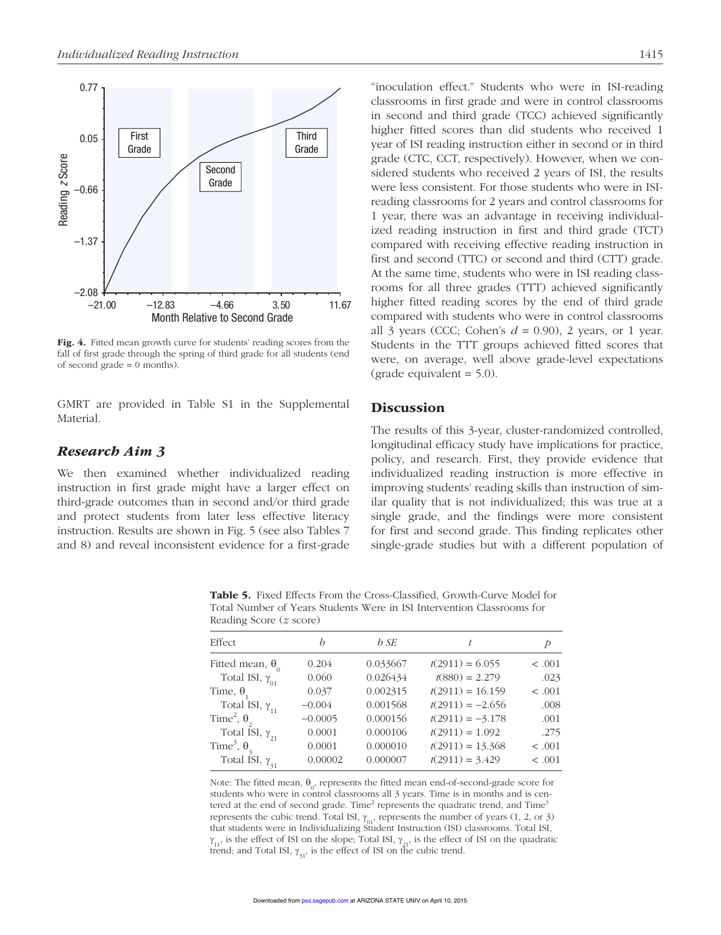

Fig. 4. Fitted mean growth curve for students' reading scores from the fall of first grade through the spring of third grade for all students (end of second grade  $= 0$  months).

GMRT are provided in Table S1 in the Supplemental Material.

# *Research Aim 3*

We then examined whether individualized reading instruction in first grade might have a larger effect on third-grade outcomes than in second and/or third grade and protect students from later less effective literacy instruction. Results are shown in Fig. 5 (see also Tables 7 and 8) and reveal inconsistent evidence for a first-grade "inoculation effect." Students who were in ISI-reading classrooms in first grade and were in control classrooms in second and third grade (TCC) achieved significantly higher fitted scores than did students who received 1 year of ISI reading instruction either in second or in third grade (CTC, CCT, respectively). However, when we considered students who received 2 years of ISI, the results were less consistent. For those students who were in ISIreading classrooms for 2 years and control classrooms for 1 year, there was an advantage in receiving individualized reading instruction in first and third grade (TCT) compared with receiving effective reading instruction in first and second (TTC) or second and third (CTT) grade. At the same time, students who were in ISI reading classrooms for all three grades (TTT) achieved significantly higher fitted reading scores by the end of third grade compared with students who were in control classrooms all 3 years (CCC; Cohen's *d =* 0.90), 2 years, or 1 year. Students in the TTT groups achieved fitted scores that were, on average, well above grade-level expectations  $\text{(grade equivalent} = 5.0).$ 

# **Discussion**

The results of this 3-year, cluster-randomized controlled, longitudinal efficacy study have implications for practice, policy, and research. First, they provide evidence that individualized reading instruction is more effective in improving students' reading skills than instruction of similar quality that is not individualized; this was true at a single grade, and the findings were more consistent for first and second grade. This finding replicates other single-grade studies but with a different population of

Table 5. Fixed Effects From the Cross-Classified, Growth-Curve Model for Total Number of Years Students Were in ISI Intervention Classrooms for Reading Score (*z* score)

| Effect                                    | h         | b SE     | t                  | Þ      |
|-------------------------------------------|-----------|----------|--------------------|--------|
| Fitted mean, $\theta_0$                   | 0.204     | 0.033667 | $t(2911) = 6.055$  | < .001 |
| Total ISI, $\gamma_{01}$                  | 0.060     | 0.026434 | $t(880) = 2.279$   | .023   |
| Time, $\theta$                            | 0.037     | 0.002315 | $t(2911) = 16.159$ | < .001 |
| Total ISI, $\gamma_{11}$                  | $-0.004$  | 0.001568 | $t(2911) = -2.656$ | .008   |
| Time <sup>2</sup> , $\theta$ <sub>2</sub> | $-0.0005$ | 0.000156 | $t(2911) = -3.178$ | .001   |
| Total ISI, $\gamma_{21}$                  | 0.0001    | 0.000106 | $t(2911) = 1.092$  | .275   |
| Time <sup>3</sup> , $\theta$ <sub>3</sub> | 0.0001    | 0.000010 | $t(2911) = 13.368$ | < .001 |
| Total ISI, $\gamma_{31}$                  | 0.00002   | 0.000007 | $t(2911) = 3.429$  | < .001 |
|                                           |           |          |                    |        |

Note: The fitted mean,  $\theta_0$ , represents the fitted mean end-of-second-grade score for students who were in control classrooms all 3 years. Time is in months and is centered at the end of second grade. Time<sup>2</sup> represents the quadratic trend, and Time<sup>3</sup> represents the cubic trend. Total ISI,  $\gamma_{01}$ , represents the number of years (1, 2, or 3) that students were in Individualizing Student Instruction (ISI) classrooms. Total ISI,  $\gamma_{11}$ , is the effect of ISI on the slope; Total ISI,  $\gamma_{21}$ , is the effect of ISI on the quadratic trend; and Total ISI,  $\gamma_{31}$ , is the effect of ISI on the cubic trend.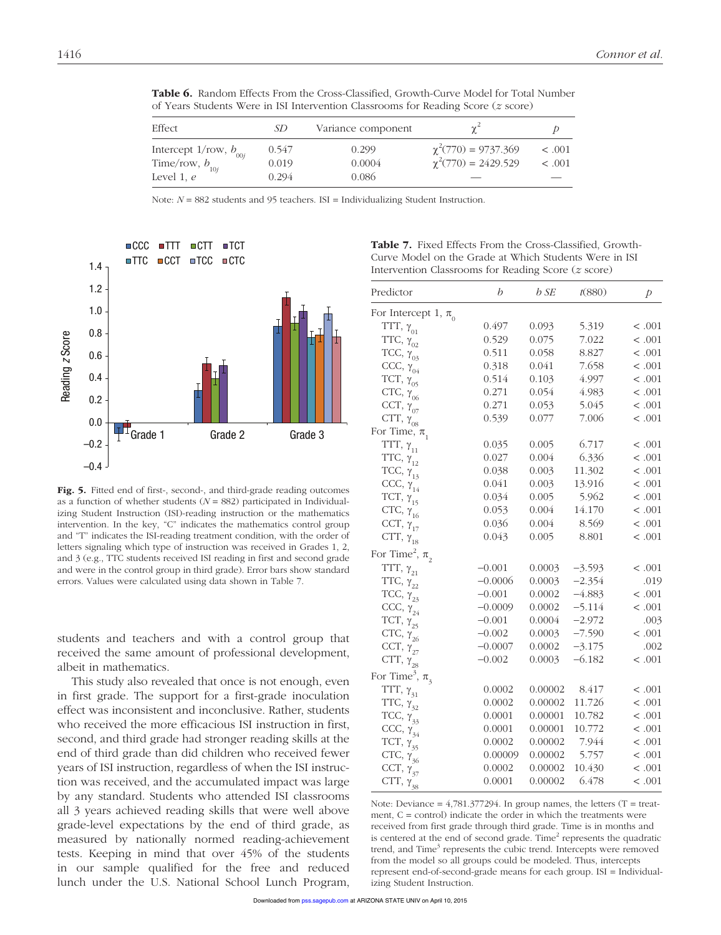| Effect                                                               | SD             | Variance component |                                                      |                        |
|----------------------------------------------------------------------|----------------|--------------------|------------------------------------------------------|------------------------|
| Intercept 1/row, $b_{_{00j}}$<br>Time/row, $b_{_{10j}}$ Level 1, $e$ | 0.547<br>0.019 | 0.299<br>0.0004    | $\chi^2(770) = 9737.369$<br>$\chi^2(770) = 2429.529$ | $\leq .001$<br>< 0.001 |
|                                                                      | 0.294          | 0.086              |                                                      |                        |

Table 6. Random Effects From the Cross-Classified, Growth-Curve Model for Total Number of Years Students Were in ISI Intervention Classrooms for Reading Score (*z* score)

Note:  $N = 882$  students and 95 teachers. ISI = Individualizing Student Instruction.



Fig. 5. Fitted end of first-, second-, and third-grade reading outcomes as a function of whether students  $(N = 882)$  participated in Individualizing Student Instruction (ISI)-reading instruction or the mathematics intervention. In the key, "C" indicates the mathematics control group and "T" indicates the ISI-reading treatment condition, with the order of letters signaling which type of instruction was received in Grades 1, 2, and 3 (e.g., TTC students received ISI reading in first and second grade and were in the control group in third grade). Error bars show standard errors. Values were calculated using data shown in Table 7.

students and teachers and with a control group that received the same amount of professional development, albeit in mathematics.

This study also revealed that once is not enough, even in first grade. The support for a first-grade inoculation effect was inconsistent and inconclusive. Rather, students who received the more efficacious ISI instruction in first, second, and third grade had stronger reading skills at the end of third grade than did children who received fewer years of ISI instruction, regardless of when the ISI instruction was received, and the accumulated impact was large by any standard. Students who attended ISI classrooms all 3 years achieved reading skills that were well above grade-level expectations by the end of third grade, as measured by nationally normed reading-achievement tests. Keeping in mind that over 45% of the students in our sample qualified for the free and reduced lunch under the U.S. National School Lunch Program,

Table 7. Fixed Effects From the Cross-Classified, Growth-Curve Model on the Grade at Which Students Were in ISI Intervention Classrooms for Reading Score (*z* score)

| Predictor                                  | b         | b SE    | t(880)   | $\mathcal{P}$ |
|--------------------------------------------|-----------|---------|----------|---------------|
| For Intercept 1, $\pi$ <sub>0</sub>        |           |         |          |               |
| TTT, $\gamma_{_{01}}$                      | 0.497     | 0.093   | 5.319    | < .001        |
| TTC, $\gamma_{02}$                         | 0.529     | 0.075   | 7.022    | < .001        |
| TCC, $\gamma_{03}$                         | 0.511     | 0.058   | 8.827    | < .001        |
| CCC, $\gamma_{04}^{\dagger}$               | 0.318     | 0.041   | 7.658    | < .001        |
| TCT, $\gamma_{05}$                         | 0.514     | 0.103   | 4.997    | < .001        |
| CTC, $\gamma_{06}$                         | 0.271     | 0.054   | 4.983    | < .001        |
| CCT, $\gamma_{_{07}}$                      | 0.271     | 0.053   | 5.045    | < .001        |
| CTT, $\gamma_{_{08}}$                      | 0.539     | 0.077   | 7.006    | < .001        |
| For Time, $\pi$ <sub>1</sub>               |           |         |          |               |
| TTT, $\gamma_{_{11}}$                      | 0.035     | 0.005   | 6.717    | < .001        |
| TTC, $\gamma_{12}$                         | 0.027     | 0.004   | 6.336    | < .001        |
| TCC, $\gamma_{13}$                         | 0.038     | 0.003   | 11.302   | < .001        |
| CCC, $\gamma_{14}^{\phantom{\dag}}$        | 0.041     | 0.003   | 13.916   | < .001        |
| TCT, $\gamma_{15}$                         | 0.034     | 0.005   | 5.962    | < .001        |
| CTC, $\gamma_{16}$                         | 0.053     | 0.004   | 14.170   | < .001        |
| CCT, $\gamma_{17}$                         | 0.036     | 0.004   | 8.569    | < .001        |
| CTT, $\gamma_{18}$                         | 0.043     | 0.005   | 8.801    | < .001        |
| For Time <sup>2</sup> , $\pi$ <sub>2</sub> |           |         |          |               |
| TTT, $\gamma_{_{21}}$                      | $-0.001$  | 0.0003  | $-3.593$ | < .001        |
| TTC, $\gamma_{22}$                         | $-0.0006$ | 0.0003  | $-2.354$ | .019          |
| TCC, $\gamma_{23}$                         | $-0.001$  | 0.0002  | $-4.883$ | < .001        |
| CCC, $\gamma_{24}^{\prime}$                | $-0.0009$ | 0.0002  | $-5.114$ | < .001        |
| TCT, $\gamma_{_{25}}$                      | $-0.001$  | 0.0004  | $-2.972$ | .003          |
| CTC, $\gamma_{26}$                         | $-0.002$  | 0.0003  | $-7.590$ | < .001        |
| CCT, $\gamma_{_{27}}$                      | $-0.0007$ | 0.0002  | $-3.175$ | .002          |
| CTT, $\gamma_{28}$                         | $-0.002$  | 0.0003  | $-6.182$ | < .001        |
| For Time <sup>3</sup> , $\pi$ <sub>3</sub> |           |         |          |               |
| TTT, $\gamma_{31}$                         | 0.0002    | 0.00002 | 8.417    | < .001        |
| TTC, $\gamma_{32}$                         | 0.0002    | 0.00002 | 11.726   | < .001        |
| TCC, $\gamma_{33}$                         | 0.0001    | 0.00001 | 10.782   | < .001        |
| CCC, $\gamma_{34}$                         | 0.0001    | 0.00001 | 10.772   | < .001        |
| TCT, $\gamma_{35}$                         | 0.0002    | 0.00002 | 7.944    | < .001        |
| CTC, $\gamma_{36}$                         | 0.00009   | 0.00002 | 5.757    | < .001        |
| CCT, $\gamma_{37}$                         | 0.0002    | 0.00002 | 10.430   | < .001        |
| CTT, $\gamma_{38}$                         | 0.0001    | 0.00002 | 6.478    | < .001        |

Note: Deviance =  $4,781.377294$ . In group names, the letters (T = treatment,  $C =$  control) indicate the order in which the treatments were received from first grade through third grade. Time is in months and is centered at the end of second grade. Time $<sup>2</sup>$  represents the quadratic</sup> trend, and Time<sup>3</sup> represents the cubic trend. Intercepts were removed from the model so all groups could be modeled. Thus, intercepts represent end-of-second-grade means for each group. ISI = Individualizing Student Instruction.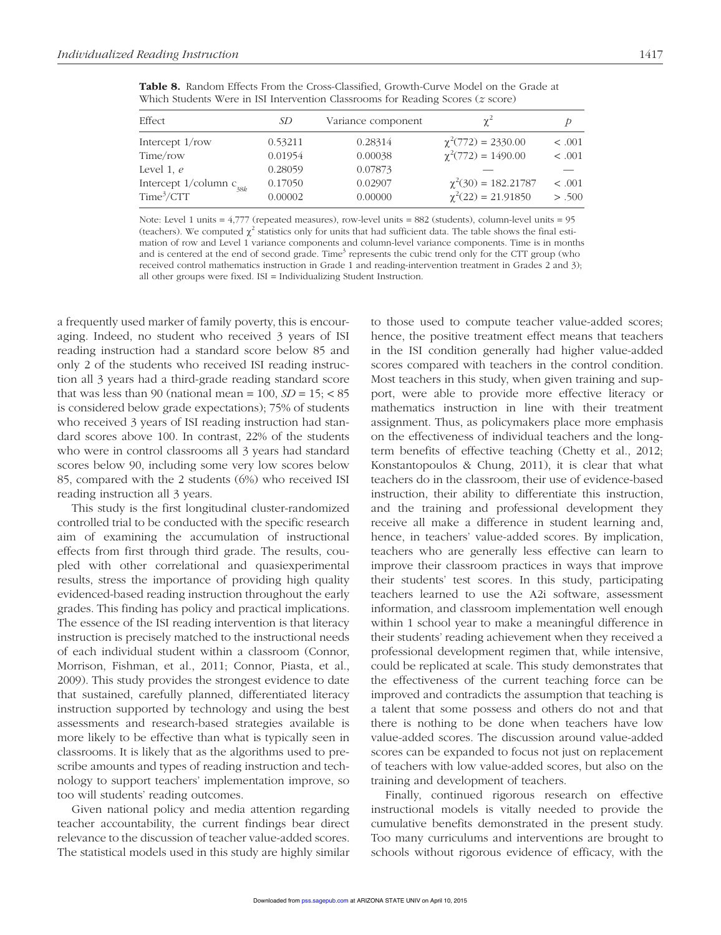| Effect                          | SD      | Variance component | $\chi^2$                 | р       |
|---------------------------------|---------|--------------------|--------------------------|---------|
| Intercept $1$ /row              | 0.53211 | 0.28314            | $\chi^2(772) = 2330.00$  | < 0.001 |
| Time/row                        | 0.01954 | 0.00038            | $\chi^2(772) = 1490.00$  | < .001  |
| Level 1, $e$                    | 0.28059 | 0.07873            |                          |         |
| Intercept $1$ /column $c_{38k}$ | 0.17050 | 0.02907            | $\chi^2(30) = 182.21787$ | < .001  |
| Time <sup>3</sup> /CTT          | 0.00002 | 0.00000            | $\chi^2(22) = 21.91850$  | > .500  |

Table 8. Random Effects From the Cross-Classified, Growth-Curve Model on the Grade at Which Students Were in ISI Intervention Classrooms for Reading Scores (*z* score)

Note: Level 1 units = 4,777 (repeated measures), row-level units = 882 (students), column-level units = 95 (teachers). We computed  $\chi^2$  statistics only for units that had sufficient data. The table shows the final estimation of row and Level 1 variance components and column-level variance components. Time is in months and is centered at the end of second grade. Time<sup>3</sup> represents the cubic trend only for the CTT group (who received control mathematics instruction in Grade 1 and reading-intervention treatment in Grades 2 and 3); all other groups were fixed. ISI = Individualizing Student Instruction.

a frequently used marker of family poverty, this is encouraging. Indeed, no student who received 3 years of ISI reading instruction had a standard score below 85 and only 2 of the students who received ISI reading instruction all 3 years had a third-grade reading standard score that was less than 90 (national mean =  $100$ ,  $SD = 15$ ; < 85 is considered below grade expectations); 75% of students who received 3 years of ISI reading instruction had standard scores above 100. In contrast, 22% of the students who were in control classrooms all 3 years had standard scores below 90, including some very low scores below 85, compared with the 2 students (6%) who received ISI reading instruction all 3 years.

This study is the first longitudinal cluster-randomized controlled trial to be conducted with the specific research aim of examining the accumulation of instructional effects from first through third grade. The results, coupled with other correlational and quasiexperimental results, stress the importance of providing high quality evidenced-based reading instruction throughout the early grades. This finding has policy and practical implications. The essence of the ISI reading intervention is that literacy instruction is precisely matched to the instructional needs of each individual student within a classroom (Connor, Morrison, Fishman, et al., 2011; Connor, Piasta, et al., 2009). This study provides the strongest evidence to date that sustained, carefully planned, differentiated literacy instruction supported by technology and using the best assessments and research-based strategies available is more likely to be effective than what is typically seen in classrooms. It is likely that as the algorithms used to prescribe amounts and types of reading instruction and technology to support teachers' implementation improve, so too will students' reading outcomes.

Given national policy and media attention regarding teacher accountability, the current findings bear direct relevance to the discussion of teacher value-added scores. The statistical models used in this study are highly similar to those used to compute teacher value-added scores; hence, the positive treatment effect means that teachers in the ISI condition generally had higher value-added scores compared with teachers in the control condition. Most teachers in this study, when given training and support, were able to provide more effective literacy or mathematics instruction in line with their treatment assignment. Thus, as policymakers place more emphasis on the effectiveness of individual teachers and the longterm benefits of effective teaching (Chetty et al., 2012; Konstantopoulos & Chung, 2011), it is clear that what teachers do in the classroom, their use of evidence-based instruction, their ability to differentiate this instruction, and the training and professional development they receive all make a difference in student learning and, hence, in teachers' value-added scores. By implication, teachers who are generally less effective can learn to improve their classroom practices in ways that improve their students' test scores. In this study, participating teachers learned to use the A2i software, assessment information, and classroom implementation well enough within 1 school year to make a meaningful difference in their students' reading achievement when they received a professional development regimen that, while intensive, could be replicated at scale. This study demonstrates that the effectiveness of the current teaching force can be improved and contradicts the assumption that teaching is a talent that some possess and others do not and that there is nothing to be done when teachers have low value-added scores. The discussion around value-added scores can be expanded to focus not just on replacement of teachers with low value-added scores, but also on the training and development of teachers.

Finally, continued rigorous research on effective instructional models is vitally needed to provide the cumulative benefits demonstrated in the present study. Too many curriculums and interventions are brought to schools without rigorous evidence of efficacy, with the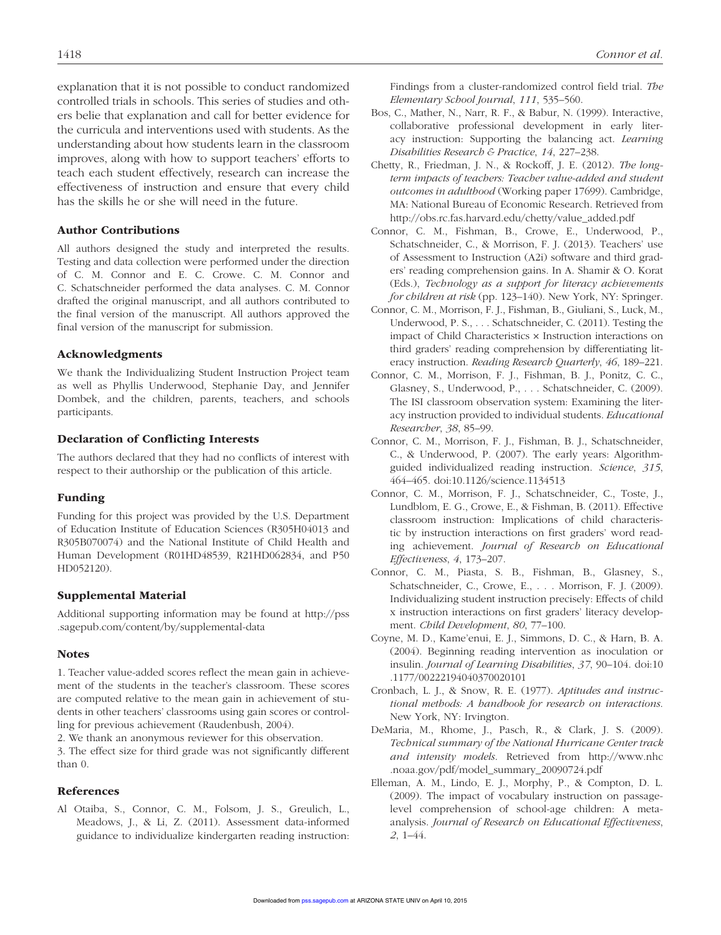explanation that it is not possible to conduct randomized controlled trials in schools. This series of studies and others belie that explanation and call for better evidence for the curricula and interventions used with students. As the understanding about how students learn in the classroom improves, along with how to support teachers' efforts to teach each student effectively, research can increase the effectiveness of instruction and ensure that every child has the skills he or she will need in the future.

#### Author Contributions

All authors designed the study and interpreted the results. Testing and data collection were performed under the direction of C. M. Connor and E. C. Crowe. C. M. Connor and C. Schatschneider performed the data analyses. C. M. Connor drafted the original manuscript, and all authors contributed to the final version of the manuscript. All authors approved the final version of the manuscript for submission.

#### Acknowledgments

We thank the Individualizing Student Instruction Project team as well as Phyllis Underwood, Stephanie Day, and Jennifer Dombek, and the children, parents, teachers, and schools participants.

#### Declaration of Conflicting Interests

The authors declared that they had no conflicts of interest with respect to their authorship or the publication of this article.

#### Funding

Funding for this project was provided by the U.S. Department of Education Institute of Education Sciences (R305H04013 and R305B070074) and the National Institute of Child Health and Human Development (R01HD48539, R21HD062834, and P50 HD052120).

#### Supplemental Material

Additional supporting information may be found at http://pss .sagepub.com/content/by/supplemental-data

#### Notes

1. Teacher value-added scores reflect the mean gain in achievement of the students in the teacher's classroom. These scores are computed relative to the mean gain in achievement of students in other teachers' classrooms using gain scores or controlling for previous achievement (Raudenbush, 2004).

2. We thank an anonymous reviewer for this observation. 3. The effect size for third grade was not significantly different than 0.

#### References

Al Otaiba, S., Connor, C. M., Folsom, J. S., Greulich, L., Meadows, J., & Li, Z. (2011). Assessment data-informed guidance to individualize kindergarten reading instruction: Findings from a cluster-randomized control field trial. *The Elementary School Journal*, *111*, 535–560.

- Bos, C., Mather, N., Narr, R. F., & Babur, N. (1999). Interactive, collaborative professional development in early literacy instruction: Supporting the balancing act. *Learning Disabilities Research & Practice*, *14*, 227–238.
- Chetty, R., Friedman, J. N., & Rockoff, J. E. (2012). *The longterm impacts of teachers: Teacher value-added and student outcomes in adulthood* (Working paper 17699). Cambridge, MA: National Bureau of Economic Research. Retrieved from http://obs.rc.fas.harvard.edu/chetty/value\_added.pdf
- Connor, C. M., Fishman, B., Crowe, E., Underwood, P., Schatschneider, C., & Morrison, F. J. (2013). Teachers' use of Assessment to Instruction (A2i) software and third graders' reading comprehension gains. In A. Shamir & O. Korat (Eds.), *Technology as a support for literacy achievements for children at risk* (pp. 123–140). New York, NY: Springer.
- Connor, C. M., Morrison, F. J., Fishman, B., Giuliani, S., Luck, M., Underwood, P. S., . . . Schatschneider, C. (2011). Testing the impact of Child Characteristics × Instruction interactions on third graders' reading comprehension by differentiating literacy instruction. *Reading Research Quarterly*, 46, 189-221.
- Connor, C. M., Morrison, F. J., Fishman, B. J., Ponitz, C. C., Glasney, S., Underwood, P., . . . Schatschneider, C. (2009). The ISI classroom observation system: Examining the literacy instruction provided to individual students. *Educational Researcher*, *38*, 85–99.
- Connor, C. M., Morrison, F. J., Fishman, B. J., Schatschneider, C., & Underwood, P. (2007). The early years: Algorithmguided individualized reading instruction. *Science*, *315*, 464–465. doi:10.1126/science.1134513
- Connor, C. M., Morrison, F. J., Schatschneider, C., Toste, J., Lundblom, E. G., Crowe, E., & Fishman, B. (2011). Effective classroom instruction: Implications of child characteristic by instruction interactions on first graders' word reading achievement. *Journal of Research on Educational Effectiveness*, *4*, 173–207.
- Connor, C. M., Piasta, S. B., Fishman, B., Glasney, S., Schatschneider, C., Crowe, E., . . . Morrison, F. J. (2009). Individualizing student instruction precisely: Effects of child x instruction interactions on first graders' literacy development. *Child Development*, *80* , 77–100.
- Coyne, M. D., Kame'enui, E. J., Simmons, D. C., & Harn, B. A. (2004). Beginning reading intervention as inoculation or insulin. *Journal of Learning Disabilities*, *37* , 90–104. doi:10 .1177/00222194040370020101
- Cronbach, L. J., & Snow, R. E. (1977). *Aptitudes and instructional methods: A handbook for research on interactions*. New York, NY: Irvington.
- DeMaria, M., Rhome, J., Pasch, R., & Clark, J. S. (2009). *Technical summary of the National Hurricane Center track and intensity models*. Retrieved from http://www.nhc .noaa.gov/pdf/model\_summary\_20090724.pdf
- Elleman, A. M., Lindo, E. J., Morphy, P., & Compton, D. L. (2009). The impact of vocabulary instruction on passagelevel comprehension of school-age children: A metaanalysis. *Journal of Research on Educational Effectiveness*, *2*, 1–44.